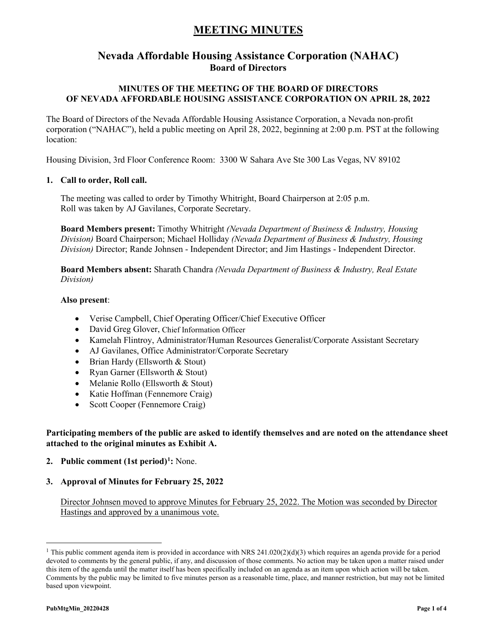### **Nevada Affordable Housing Assistance Corporation (NAHAC) Board of Directors**

### **MINUTES OF THE MEETING OF THE BOARD OF DIRECTORS OF NEVADA AFFORDABLE HOUSING ASSISTANCE CORPORATION ON APRIL 28, 2022**

The Board of Directors of the Nevada Affordable Housing Assistance Corporation, a Nevada non-profit corporation ("NAHAC"), held a public meeting on April 28, 2022, beginning at 2:00 p.m. PST at the following location:

Housing Division, 3rd Floor Conference Room: 3300 W Sahara Ave Ste 300 Las Vegas, NV 89102

#### **1. Call to order, Roll call.**

The meeting was called to order by Timothy Whitright, Board Chairperson at 2:05 p.m. Roll was taken by AJ Gavilanes, Corporate Secretary.

**Board Members present:** Timothy Whitright *(Nevada Department of Business & Industry, Housing Division)* Board Chairperson; Michael Holliday *(Nevada Department of Business & Industry, Housing Division)* Director; Rande Johnsen - Independent Director; and Jim Hastings - Independent Director.

**Board Members absent:** Sharath Chandra *(Nevada Department of Business & Industry, Real Estate Division)*

#### **Also present**:

- Verise Campbell, Chief Operating Officer/Chief Executive Officer
- David Greg Glover, Chief Information Officer
- Kamelah Flintroy, Administrator/Human Resources Generalist/Corporate Assistant Secretary
- AJ Gavilanes, Office Administrator/Corporate Secretary
- Brian Hardy (Ellsworth & Stout)
- Ryan Garner (Ellsworth & Stout)
- Melanie Rollo (Ellsworth & Stout)
- Katie Hoffman (Fennemore Craig)
- Scott Cooper (Fennemore Craig)

### **Participating members of the public are asked to identify themselves and are noted on the attendance sheet attached to the original minutes as Exhibit A.**

**2. Public comment (1st period)[1](#page-0-0) :** None.

#### **3. Approval of Minutes for February 25, 2022**

Director Johnsen moved to approve Minutes for February 25, 2022. The Motion was seconded by Director Hastings and approved by a unanimous vote.

<span id="page-0-0"></span><sup>&</sup>lt;sup>1</sup> This public comment agenda item is provided in accordance with NRS 241.020(2)(d)(3) which requires an agenda provide for a period devoted to comments by the general public, if any, and discussion of those comments. No action may be taken upon a matter raised under this item of the agenda until the matter itself has been specifically included on an agenda as an item upon which action will be taken. Comments by the public may be limited to five minutes person as a reasonable time, place, and manner restriction, but may not be limited based upon viewpoint.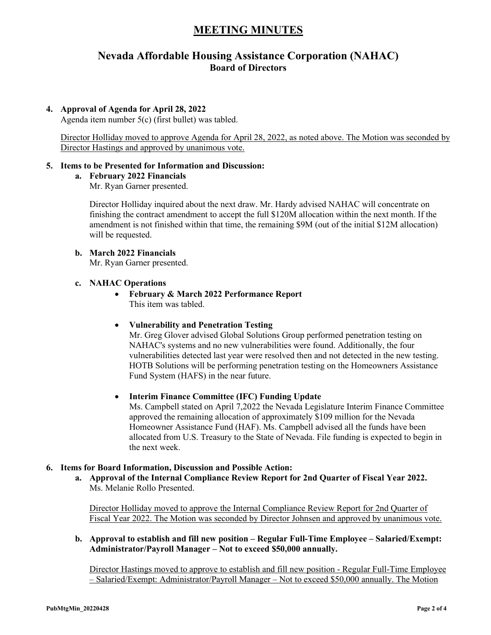### **Nevada Affordable Housing Assistance Corporation (NAHAC) Board of Directors**

### **4. Approval of Agenda for April 28, 2022**

Agenda item number 5(c) (first bullet) was tabled.

Director Holliday moved to approve Agenda for April 28, 2022, as noted above. The Motion was seconded by Director Hastings and approved by unanimous vote.

### **5. Items to be Presented for Information and Discussion:**

#### **a. February 2022 Financials**

Mr. Ryan Garner presented.

Director Holliday inquired about the next draw. Mr. Hardy advised NAHAC will concentrate on finishing the contract amendment to accept the full \$120M allocation within the next month. If the amendment is not finished within that time, the remaining \$9M (out of the initial \$12M allocation) will be requested.

### **b. March 2022 Financials**

Mr. Ryan Garner presented.

#### **c. NAHAC Operations**

• **February & March 2022 Performance Report** This item was tabled.

### • **Vulnerability and Penetration Testing**

Mr. Greg Glover advised Global Solutions Group performed penetration testing on NAHAC's systems and no new vulnerabilities were found. Additionally, the four vulnerabilities detected last year were resolved then and not detected in the new testing. HOTB Solutions will be performing penetration testing on the Homeowners Assistance Fund System (HAFS) in the near future.

### • **Interim Finance Committee (IFC) Funding Update**

Ms. Campbell stated on April 7,2022 the Nevada Legislature Interim Finance Committee approved the remaining allocation of approximately \$109 million for the Nevada Homeowner Assistance Fund (HAF). Ms. Campbell advised all the funds have been allocated from U.S. Treasury to the State of Nevada. File funding is expected to begin in the next week.

### **6. Items for Board Information, Discussion and Possible Action:**

**a. Approval of the Internal Compliance Review Report for 2nd Quarter of Fiscal Year 2022.**  Ms. Melanie Rollo Presented.

Director Holliday moved to approve the Internal Compliance Review Report for 2nd Quarter of Fiscal Year 2022. The Motion was seconded by Director Johnsen and approved by unanimous vote.

### **b. Approval to establish and fill new position – Regular Full-Time Employee – Salaried/Exempt: Administrator/Payroll Manager – Not to exceed \$50,000 annually.**

Director Hastings moved to approve to establish and fill new position - Regular Full-Time Employee – Salaried/Exempt: Administrator/Payroll Manager – Not to exceed \$50,000 annually. The Motion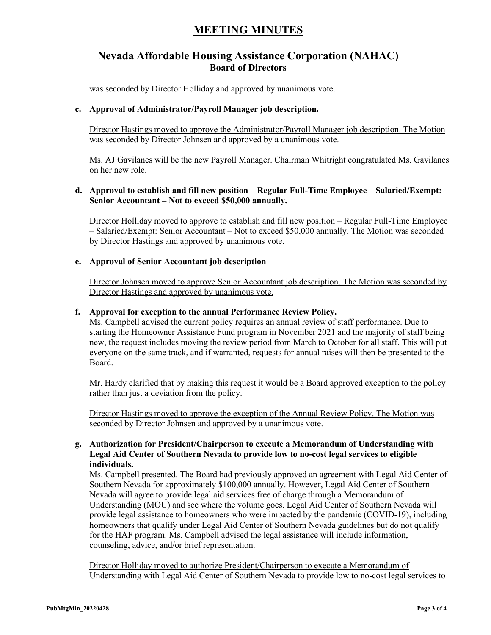### **Nevada Affordable Housing Assistance Corporation (NAHAC) Board of Directors**

was seconded by Director Holliday and approved by unanimous vote.

### **c. Approval of Administrator/Payroll Manager job description.**

Director Hastings moved to approve the Administrator/Payroll Manager job description. The Motion was seconded by Director Johnsen and approved by a unanimous vote.

Ms. AJ Gavilanes will be the new Payroll Manager. Chairman Whitright congratulated Ms. Gavilanes on her new role.

### **d. Approval to establish and fill new position – Regular Full-Time Employee – Salaried/Exempt: Senior Accountant – Not to exceed \$50,000 annually.**

Director Holliday moved to approve to establish and fill new position – Regular Full-Time Employee – Salaried/Exempt: Senior Accountant – Not to exceed \$50,000 annually. The Motion was seconded by Director Hastings and approved by unanimous vote.

### **e. Approval of Senior Accountant job description**

Director Johnsen moved to approve Senior Accountant job description. The Motion was seconded by Director Hastings and approved by unanimous vote.

#### **f. Approval for exception to the annual Performance Review Policy.**

Ms. Campbell advised the current policy requires an annual review of staff performance. Due to starting the Homeowner Assistance Fund program in November 2021 and the majority of staff being new, the request includes moving the review period from March to October for all staff. This will put everyone on the same track, and if warranted, requests for annual raises will then be presented to the Board.

Mr. Hardy clarified that by making this request it would be a Board approved exception to the policy rather than just a deviation from the policy.

Director Hastings moved to approve the exception of the Annual Review Policy. The Motion was seconded by Director Johnsen and approved by a unanimous vote.

### **g. Authorization for President/Chairperson to execute a Memorandum of Understanding with Legal Aid Center of Southern Nevada to provide low to no-cost legal services to eligible individuals.**

Ms. Campbell presented. The Board had previously approved an agreement with Legal Aid Center of Southern Nevada for approximately \$100,000 annually. However, Legal Aid Center of Southern Nevada will agree to provide legal aid services free of charge through a Memorandum of Understanding (MOU) and see where the volume goes. Legal Aid Center of Southern Nevada will provide legal assistance to homeowners who were impacted by the pandemic (COVID-19), including homeowners that qualify under Legal Aid Center of Southern Nevada guidelines but do not qualify for the HAF program. Ms. Campbell advised the legal assistance will include information, counseling, advice, and/or brief representation.

Director Holliday moved to authorize President/Chairperson to execute a Memorandum of Understanding with Legal Aid Center of Southern Nevada to provide low to no-cost legal services to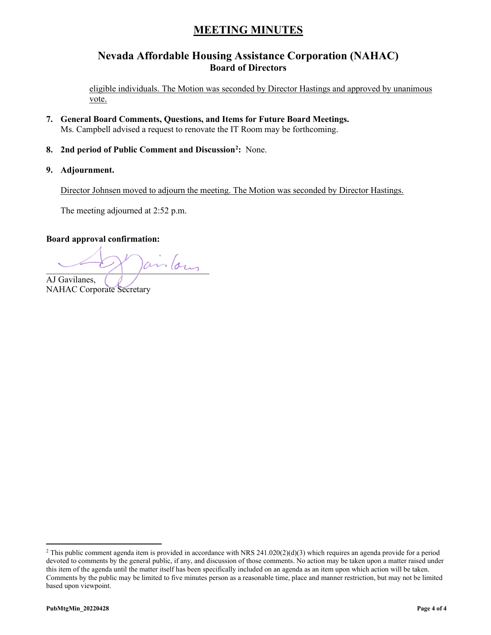### **Nevada Affordable Housing Assistance Corporation (NAHAC) Board of Directors**

eligible individuals. The Motion was seconded by Director Hastings and approved by unanimous vote.

- **7. General Board Comments, Questions, and Items for Future Board Meetings.**  Ms. Campbell advised a request to renovate the IT Room may be forthcoming.
- **8. 2nd period of Public Comment and Discussion[2](#page-3-0) :** None.
- **9. Adjournment.**

Director Johnsen moved to adjourn the meeting. The Motion was seconded by Director Hastings.

The meeting adjourned at 2:52 p.m.

### **Board approval confirmation:**

 $arrightarrow$ AJ Gavilanes,

NAHAC Corporate Secretary

<span id="page-3-0"></span><sup>&</sup>lt;sup>2</sup> This public comment agenda item is provided in accordance with NRS 241.020(2)(d)(3) which requires an agenda provide for a period devoted to comments by the general public, if any, and discussion of those comments. No action may be taken upon a matter raised under this item of the agenda until the matter itself has been specifically included on an agenda as an item upon which action will be taken. Comments by the public may be limited to five minutes person as a reasonable time, place and manner restriction, but may not be limited based upon viewpoint.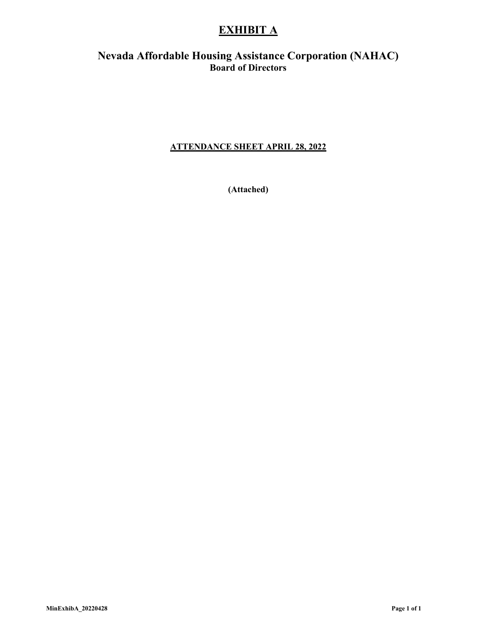## **EXHIBIT A**

### **Nevada Affordable Housing Assistance Corporation (NAHAC) Board of Directors**

### **ATTENDANCE SHEET APRIL 28, 2022**

**(Attached)**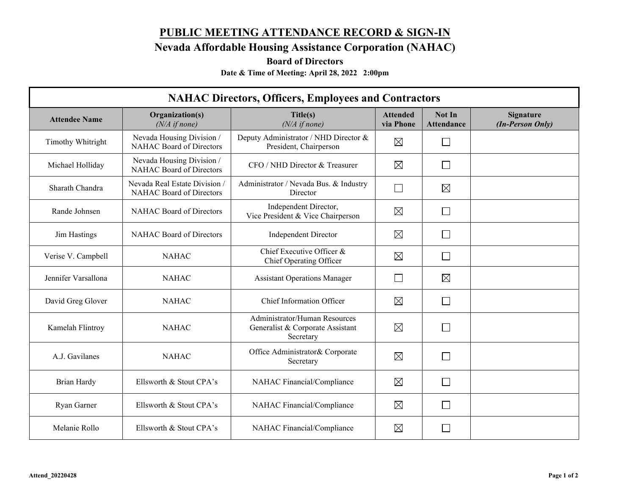# **PUBLIC MEETING ATTENDANCE RECORD & SIGN-IN**

**Nevada Affordable Housing Assistance Corporation (NAHAC)**

**Board of Directors**

**Date & Time of Meeting: April 28, 2022 2:00pm**

| <b>NAHAC Directors, Officers, Employees and Contractors</b> |                                                                  |                                                                                |                              |                             |                                      |  |  |
|-------------------------------------------------------------|------------------------------------------------------------------|--------------------------------------------------------------------------------|------------------------------|-----------------------------|--------------------------------------|--|--|
| <b>Attendee Name</b>                                        | Organization(s)<br>$(N/A \text{ if none})$                       | Title(s)<br>$(N/A \text{ if none})$                                            | <b>Attended</b><br>via Phone | Not In<br><b>Attendance</b> | <b>Signature</b><br>(In-Person Only) |  |  |
| Timothy Whitright                                           | Nevada Housing Division /<br>NAHAC Board of Directors            | Deputy Administrator / NHD Director &<br>President, Chairperson                | $\boxtimes$                  | П                           |                                      |  |  |
| Michael Holliday                                            | Nevada Housing Division /<br>NAHAC Board of Directors            | CFO / NHD Director & Treasurer                                                 | $\boxtimes$                  | $\Box$                      |                                      |  |  |
| Sharath Chandra                                             | Nevada Real Estate Division /<br><b>NAHAC Board of Directors</b> | Administrator / Nevada Bus. & Industry<br>Director                             | $\Box$                       | $\boxtimes$                 |                                      |  |  |
| Rande Johnsen                                               | NAHAC Board of Directors                                         | Independent Director,<br>Vice President & Vice Chairperson                     | $\boxtimes$                  | $\Box$                      |                                      |  |  |
| Jim Hastings                                                | NAHAC Board of Directors                                         | <b>Independent Director</b>                                                    | $\boxtimes$                  |                             |                                      |  |  |
| Verise V. Campbell                                          | <b>NAHAC</b>                                                     | Chief Executive Officer &<br>Chief Operating Officer                           | $\boxtimes$                  | Г                           |                                      |  |  |
| Jennifer Varsallona                                         | <b>NAHAC</b>                                                     | <b>Assistant Operations Manager</b>                                            | $\Box$                       | $\boxtimes$                 |                                      |  |  |
| David Greg Glover                                           | <b>NAHAC</b>                                                     | Chief Information Officer                                                      | $\boxtimes$                  | $\Box$                      |                                      |  |  |
| Kamelah Flintroy                                            | <b>NAHAC</b>                                                     | Administrator/Human Resources<br>Generalist & Corporate Assistant<br>Secretary | $\boxtimes$                  | П                           |                                      |  |  |
| A.J. Gavilanes                                              | <b>NAHAC</b>                                                     | Office Administrator& Corporate<br>Secretary                                   | $\boxtimes$                  | $\Box$                      |                                      |  |  |
| Brian Hardy                                                 | Ellsworth & Stout CPA's                                          | NAHAC Financial/Compliance                                                     | $\boxtimes$                  | $\mathbf{L}$                |                                      |  |  |
| Ryan Garner                                                 | Ellsworth & Stout CPA's                                          | NAHAC Financial/Compliance                                                     | $\boxtimes$                  | $\mathbf{L}$                |                                      |  |  |
| Melanie Rollo                                               | Ellsworth & Stout CPA's                                          | NAHAC Financial/Compliance                                                     | $\boxtimes$                  |                             |                                      |  |  |